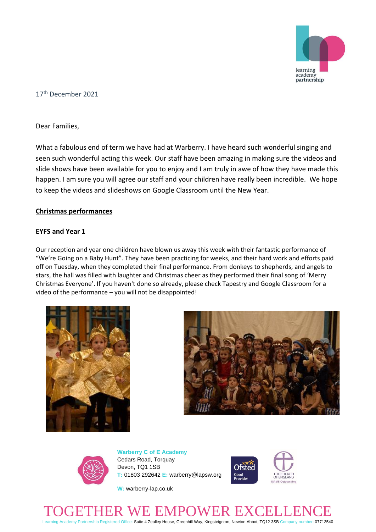

# 17 th December 2021

Dear Families,

What a fabulous end of term we have had at Warberry. I have heard such wonderful singing and seen such wonderful acting this week. Our staff have been amazing in making sure the videos and slide shows have been available for you to enjoy and I am truly in awe of how they have made this happen. I am sure you will agree our staff and your children have really been incredible. We hope to keep the videos and slideshows on Google Classroom until the New Year.

#### **Christmas performances**

#### **EYFS and Year 1**

Our reception and year one children have blown us away this week with their fantastic performance of "We're Going on a Baby Hunt". They have been practicing for weeks, and their hard work and efforts paid off on Tuesday, when they completed their final performance. From donkeys to shepherds, and angels to stars, the hall was filled with laughter and Christmas cheer as they performed their final song of 'Merry Christmas Everyone'. If you haven't done so already, please check Tapestry and Google Classroom for a video of the performance – you will not be disappointed!







**Warberry C of E Academy** Cedars Road, Torquay Devon, TQ1 1SB **T:** 01803 292642 **E:** warberry@lapsw.org



**W:** warberry-lap.co.uk

# TOGETHER WE EMPOWER EXCELLENCE

Learning Academy Partnership Registered Office: Suite 4 Zealley House, Greenhill Way, Kingsteignton, Newton Abbot, TQ12 3SB Company number: 07713540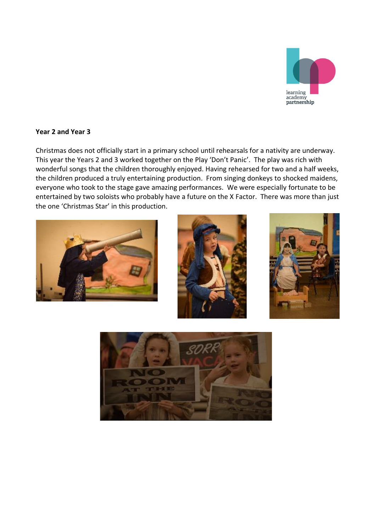

# **Year 2 and Year 3**

Christmas does not officially start in a primary school until rehearsals for a nativity are underway. This year the Years 2 and 3 worked together on the Play 'Don't Panic'. The play was rich with wonderful songs that the children thoroughly enjoyed. Having rehearsed for two and a half weeks, the children produced a truly entertaining production. From singing donkeys to shocked maidens, everyone who took to the stage gave amazing performances. We were especially fortunate to be entertained by two soloists who probably have a future on the X Factor. There was more than just the one 'Christmas Star' in this production.